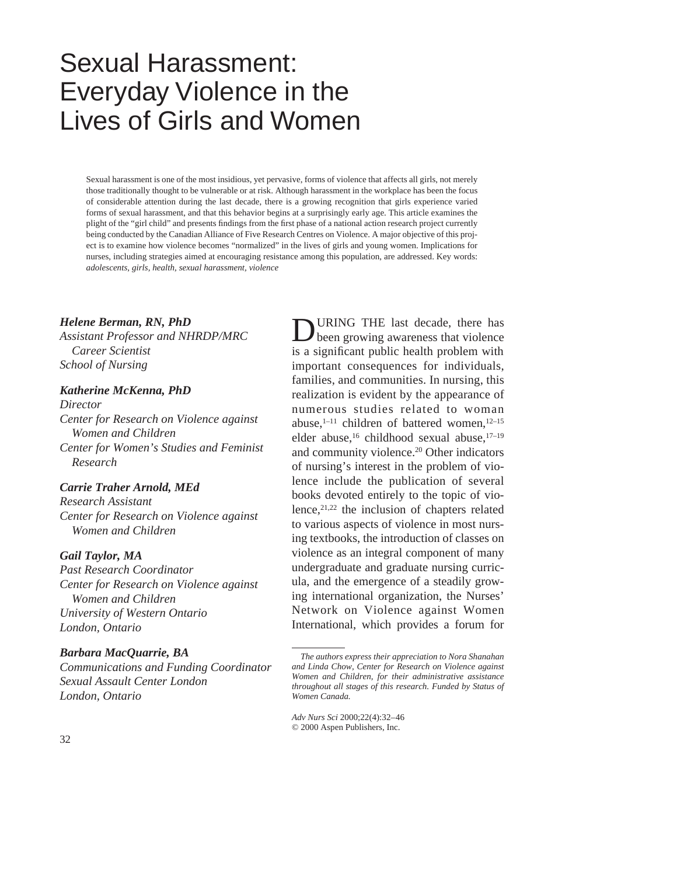# Sexual Harassment: Everyday Violence in the Lives of Girls and Women

Sexual harassment is one of the most insidious, yet pervasive, forms of violence that affects all girls, not merely those traditionally thought to be vulnerable or at risk. Although harassment in the workplace has been the focus of considerable attention during the last decade, there is a growing recognition that girls experience varied forms of sexual harassment, and that this behavior begins at a surprisingly early age. This article examines the plight of the "girl child" and presents findings from the first phase of a national action research project currently being conducted by the Canadian Alliance of Five Research Centres on Violence. A major objective of this project is to examine how violence becomes "normalized" in the lives of girls and young women. Implications for nurses, including strategies aimed at encouraging resistance among this population, are addressed. Key words: *adolescents, girls, health, sexual harassment, violence*

### *Helene Berman, RN, PhD*

*Assistant Professor and NHRDP/MRC Career Scientist School of Nursing*

#### *Katherine McKenna, PhD*

*Director Center for Research on Violence against Women and Children Center for Women's Studies and Feminist Research*

#### *Carrie Traher Arnold, MEd*

*Research Assistant Center for Research on Violence against Women and Children*

## *Gail Taylor, MA*

*Past Research Coordinator Center for Research on Violence against Women and Children University of Western Ontario London, Ontario*

#### *Barbara MacQuarrie, BA*

*Communications and Funding Coordinator Sexual Assault Center London London, Ontario*

DURING THE last decade, there has been growing awareness that violence is a significant public health problem with important consequences for individuals, families, and communities. In nursing, this realization is evident by the appearance of numerous studies related to woman abuse, $1-11$  children of battered women, $12-15$ elder abuse,<sup>16</sup> childhood sexual abuse,<sup>17-19</sup> and community violence.20 Other indicators of nursing's interest in the problem of violence include the publication of several books devoted entirely to the topic of violence,21,22 the inclusion of chapters related to various aspects of violence in most nursing textbooks, the introduction of classes on violence as an integral component of many undergraduate and graduate nursing curricula, and the emergence of a steadily growing international organization, the Nurses' Network on Violence against Women International, which provides a forum for

*Adv Nurs Sci* 2000;22(4):32–46 © 2000 Aspen Publishers, Inc.

*The authors express their appreciation to Nora Shanahan and Linda Chow, Center for Research on Violence against Women and Children, for their administrative assistance throughout all stages of this research. Funded by Status of Women Canada.*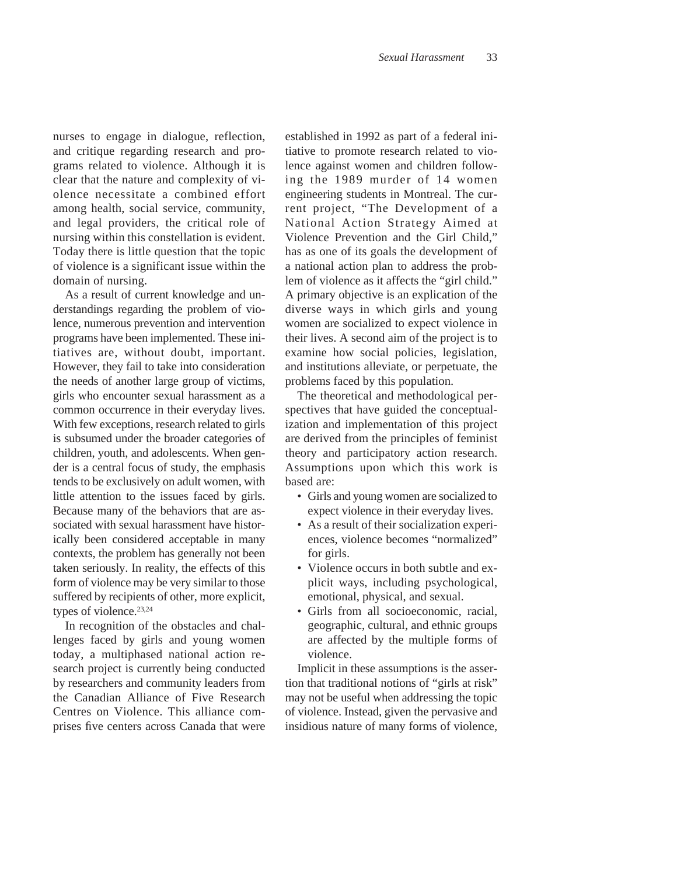nurses to engage in dialogue, reflection, and critique regarding research and programs related to violence. Although it is clear that the nature and complexity of violence necessitate a combined effort among health, social service, community, and legal providers, the critical role of nursing within this constellation is evident. Today there is little question that the topic of violence is a significant issue within the domain of nursing.

As a result of current knowledge and understandings regarding the problem of violence, numerous prevention and intervention programs have been implemented. These initiatives are, without doubt, important. However, they fail to take into consideration the needs of another large group of victims, girls who encounter sexual harassment as a common occurrence in their everyday lives. With few exceptions, research related to girls is subsumed under the broader categories of children, youth, and adolescents. When gender is a central focus of study, the emphasis tends to be exclusively on adult women, with little attention to the issues faced by girls. Because many of the behaviors that are associated with sexual harassment have historically been considered acceptable in many contexts, the problem has generally not been taken seriously. In reality, the effects of this form of violence may be very similar to those suffered by recipients of other, more explicit, types of violence.<sup>23,24</sup>

In recognition of the obstacles and challenges faced by girls and young women today, a multiphased national action research project is currently being conducted by researchers and community leaders from the Canadian Alliance of Five Research Centres on Violence. This alliance comprises five centers across Canada that were

established in 1992 as part of a federal initiative to promote research related to violence against women and children following the 1989 murder of 14 women engineering students in Montreal. The current project, "The Development of a National Action Strategy Aimed at Violence Prevention and the Girl Child," has as one of its goals the development of a national action plan to address the problem of violence as it affects the "girl child." A primary objective is an explication of the diverse ways in which girls and young women are socialized to expect violence in their lives. A second aim of the project is to examine how social policies, legislation, and institutions alleviate, or perpetuate, the problems faced by this population.

The theoretical and methodological perspectives that have guided the conceptualization and implementation of this project are derived from the principles of feminist theory and participatory action research. Assumptions upon which this work is based are:

- Girls and young women are socialized to expect violence in their everyday lives.
- As a result of their socialization experiences, violence becomes "normalized" for girls.
- Violence occurs in both subtle and explicit ways, including psychological, emotional, physical, and sexual.
- Girls from all socioeconomic, racial, geographic, cultural, and ethnic groups are affected by the multiple forms of violence.

Implicit in these assumptions is the assertion that traditional notions of "girls at risk" may not be useful when addressing the topic of violence. Instead, given the pervasive and insidious nature of many forms of violence,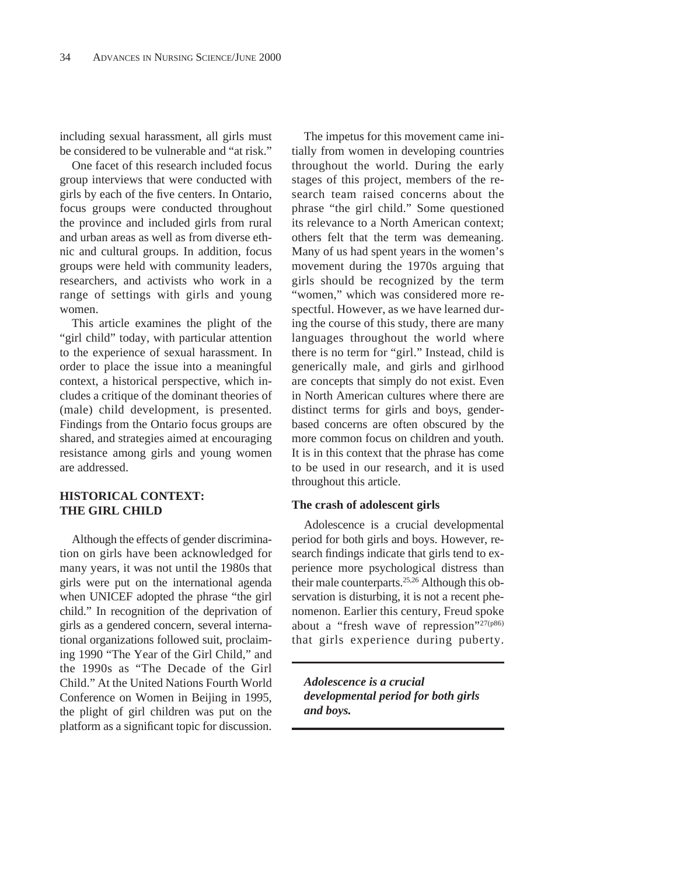including sexual harassment, all girls must be considered to be vulnerable and "at risk."

One facet of this research included focus group interviews that were conducted with girls by each of the five centers. In Ontario, focus groups were conducted throughout the province and included girls from rural and urban areas as well as from diverse ethnic and cultural groups. In addition, focus groups were held with community leaders, researchers, and activists who work in a range of settings with girls and young women.

This article examines the plight of the "girl child" today, with particular attention to the experience of sexual harassment. In order to place the issue into a meaningful context, a historical perspective, which includes a critique of the dominant theories of (male) child development, is presented. Findings from the Ontario focus groups are shared, and strategies aimed at encouraging resistance among girls and young women are addressed.

# **HISTORICAL CONTEXT: THE GIRL CHILD**

Although the effects of gender discrimination on girls have been acknowledged for many years, it was not until the 1980s that girls were put on the international agenda when UNICEF adopted the phrase "the girl child." In recognition of the deprivation of girls as a gendered concern, several international organizations followed suit, proclaiming 1990 "The Year of the Girl Child," and the 1990s as "The Decade of the Girl Child." At the United Nations Fourth World Conference on Women in Beijing in 1995, the plight of girl children was put on the platform as a significant topic for discussion.

The impetus for this movement came initially from women in developing countries throughout the world. During the early stages of this project, members of the research team raised concerns about the phrase "the girl child." Some questioned its relevance to a North American context; others felt that the term was demeaning. Many of us had spent years in the women's movement during the 1970s arguing that girls should be recognized by the term "women," which was considered more respectful. However, as we have learned during the course of this study, there are many languages throughout the world where there is no term for "girl." Instead, child is generically male, and girls and girlhood are concepts that simply do not exist. Even in North American cultures where there are distinct terms for girls and boys, genderbased concerns are often obscured by the more common focus on children and youth. It is in this context that the phrase has come to be used in our research, and it is used throughout this article.

#### **The crash of adolescent girls**

Adolescence is a crucial developmental period for both girls and boys. However, research findings indicate that girls tend to experience more psychological distress than their male counterparts.25,26 Although this observation is disturbing, it is not a recent phenomenon. Earlier this century, Freud spoke about a "fresh wave of repression"<sup>27(p86)</sup> that girls experience during puberty.

*Adolescence is a crucial developmental period for both girls and boys.*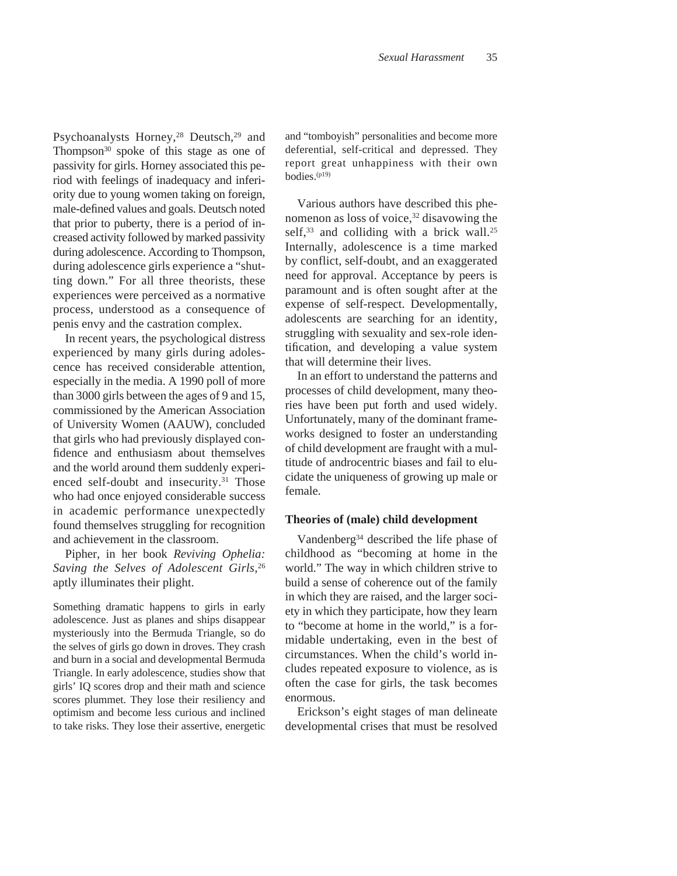Psychoanalysts Horney,<sup>28</sup> Deutsch,<sup>29</sup> and Thompson $30$  spoke of this stage as one of passivity for girls. Horney associated this period with feelings of inadequacy and inferiority due to young women taking on foreign, male-defined values and goals. Deutsch noted that prior to puberty, there is a period of increased activity followed by marked passivity during adolescence. According to Thompson, during adolescence girls experience a "shutting down." For all three theorists, these experiences were perceived as a normative process, understood as a consequence of penis envy and the castration complex.

In recent years, the psychological distress experienced by many girls during adolescence has received considerable attention, especially in the media. A 1990 poll of more than 3000 girls between the ages of 9 and 15, commissioned by the American Association of University Women (AAUW), concluded that girls who had previously displayed confidence and enthusiasm about themselves and the world around them suddenly experienced self-doubt and insecurity.31 Those who had once enjoyed considerable success in academic performance unexpectedly found themselves struggling for recognition and achievement in the classroom.

Pipher, in her book *Reviving Ophelia: Saving the Selves of Adolescent Girls,*<sup>26</sup> aptly illuminates their plight.

Something dramatic happens to girls in early adolescence. Just as planes and ships disappear mysteriously into the Bermuda Triangle, so do the selves of girls go down in droves. They crash and burn in a social and developmental Bermuda Triangle. In early adolescence, studies show that girls' IQ scores drop and their math and science scores plummet. They lose their resiliency and optimism and become less curious and inclined to take risks. They lose their assertive, energetic

and "tomboyish" personalities and become more deferential, self-critical and depressed. They report great unhappiness with their own bodies.(p19)

Various authors have described this phenomenon as loss of voice, $32$  disavowing the self, $33$  and colliding with a brick wall. $25$ Internally, adolescence is a time marked by conflict, self-doubt, and an exaggerated need for approval. Acceptance by peers is paramount and is often sought after at the expense of self-respect. Developmentally, adolescents are searching for an identity, struggling with sexuality and sex-role identification, and developing a value system that will determine their lives.

In an effort to understand the patterns and processes of child development, many theories have been put forth and used widely. Unfortunately, many of the dominant frameworks designed to foster an understanding of child development are fraught with a multitude of androcentric biases and fail to elucidate the uniqueness of growing up male or female.

#### **Theories of (male) child development**

Vandenberg34 described the life phase of childhood as "becoming at home in the world." The way in which children strive to build a sense of coherence out of the family in which they are raised, and the larger society in which they participate, how they learn to "become at home in the world," is a formidable undertaking, even in the best of circumstances. When the child's world includes repeated exposure to violence, as is often the case for girls, the task becomes enormous.

Erickson's eight stages of man delineate developmental crises that must be resolved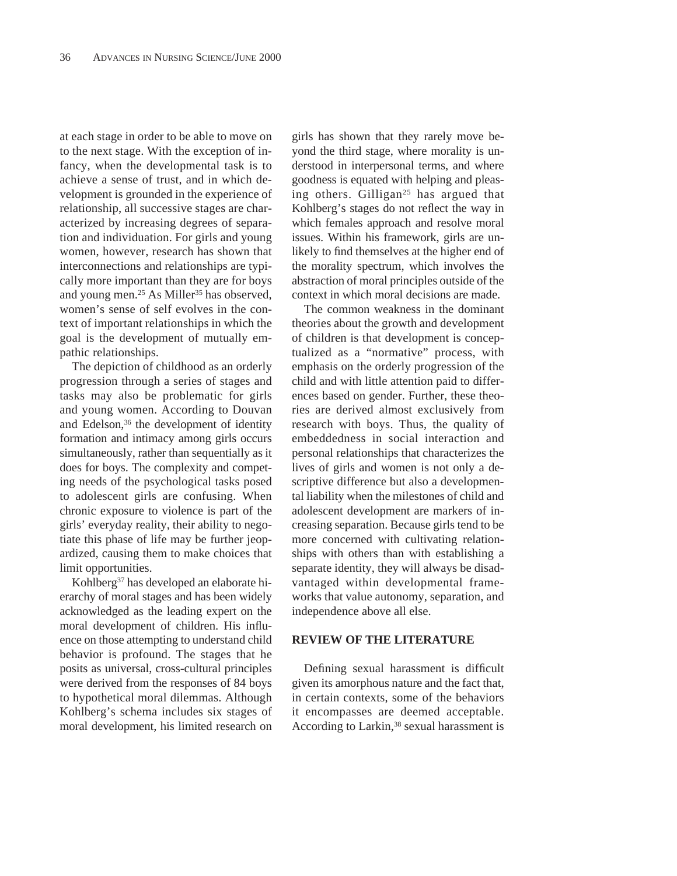at each stage in order to be able to move on to the next stage. With the exception of infancy, when the developmental task is to achieve a sense of trust, and in which development is grounded in the experience of relationship, all successive stages are characterized by increasing degrees of separation and individuation. For girls and young women, however, research has shown that interconnections and relationships are typically more important than they are for boys and young men.<sup>25</sup> As Miller<sup>35</sup> has observed, women's sense of self evolves in the context of important relationships in which the goal is the development of mutually empathic relationships.

The depiction of childhood as an orderly progression through a series of stages and tasks may also be problematic for girls and young women. According to Douvan and Edelson,<sup>36</sup> the development of identity formation and intimacy among girls occurs simultaneously, rather than sequentially as it does for boys. The complexity and competing needs of the psychological tasks posed to adolescent girls are confusing. When chronic exposure to violence is part of the girls' everyday reality, their ability to negotiate this phase of life may be further jeopardized, causing them to make choices that limit opportunities.

Kohlberg<sup>37</sup> has developed an elaborate hierarchy of moral stages and has been widely acknowledged as the leading expert on the moral development of children. His influence on those attempting to understand child behavior is profound. The stages that he posits as universal, cross-cultural principles were derived from the responses of 84 boys to hypothetical moral dilemmas. Although Kohlberg's schema includes six stages of moral development, his limited research on girls has shown that they rarely move beyond the third stage, where morality is understood in interpersonal terms, and where goodness is equated with helping and pleasing others. Gilligan<sup>25</sup> has argued that Kohlberg's stages do not reflect the way in which females approach and resolve moral issues. Within his framework, girls are unlikely to find themselves at the higher end of the morality spectrum, which involves the abstraction of moral principles outside of the context in which moral decisions are made.

The common weakness in the dominant theories about the growth and development of children is that development is conceptualized as a "normative" process, with emphasis on the orderly progression of the child and with little attention paid to differences based on gender. Further, these theories are derived almost exclusively from research with boys. Thus, the quality of embeddedness in social interaction and personal relationships that characterizes the lives of girls and women is not only a descriptive difference but also a developmental liability when the milestones of child and adolescent development are markers of increasing separation. Because girls tend to be more concerned with cultivating relationships with others than with establishing a separate identity, they will always be disadvantaged within developmental frameworks that value autonomy, separation, and independence above all else.

#### **REVIEW OF THE LITERATURE**

Defining sexual harassment is difficult given its amorphous nature and the fact that, in certain contexts, some of the behaviors it encompasses are deemed acceptable. According to Larkin,<sup>38</sup> sexual harassment is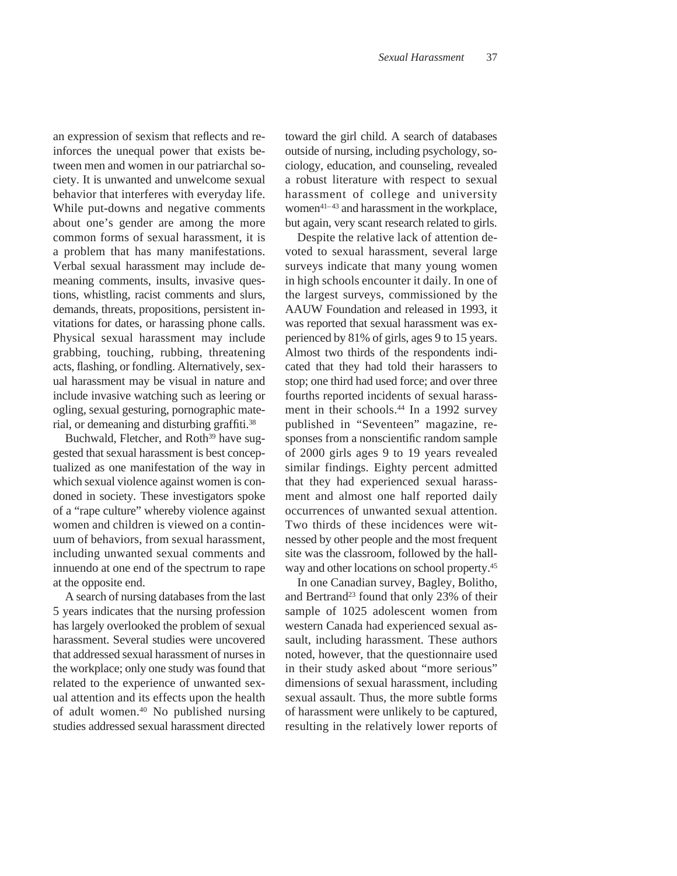an expression of sexism that reflects and reinforces the unequal power that exists between men and women in our patriarchal society. It is unwanted and unwelcome sexual behavior that interferes with everyday life. While put-downs and negative comments about one's gender are among the more common forms of sexual harassment, it is a problem that has many manifestations. Verbal sexual harassment may include demeaning comments, insults, invasive questions, whistling, racist comments and slurs, demands, threats, propositions, persistent invitations for dates, or harassing phone calls. Physical sexual harassment may include grabbing, touching, rubbing, threatening acts, flashing, or fondling. Alternatively, sexual harassment may be visual in nature and include invasive watching such as leering or ogling, sexual gesturing, pornographic material, or demeaning and disturbing graffiti.38

Buchwald, Fletcher, and Roth<sup>39</sup> have suggested that sexual harassment is best conceptualized as one manifestation of the way in which sexual violence against women is condoned in society. These investigators spoke of a "rape culture" whereby violence against women and children is viewed on a continuum of behaviors, from sexual harassment, including unwanted sexual comments and innuendo at one end of the spectrum to rape at the opposite end.

A search of nursing databases from the last 5 years indicates that the nursing profession has largely overlooked the problem of sexual harassment. Several studies were uncovered that addressed sexual harassment of nurses in the workplace; only one study was found that related to the experience of unwanted sexual attention and its effects upon the health of adult women.40 No published nursing studies addressed sexual harassment directed

toward the girl child. A search of databases outside of nursing, including psychology, sociology, education, and counseling, revealed a robust literature with respect to sexual harassment of college and university women $41-43$  and harassment in the workplace, but again, very scant research related to girls.

Despite the relative lack of attention devoted to sexual harassment, several large surveys indicate that many young women in high schools encounter it daily. In one of the largest surveys, commissioned by the AAUW Foundation and released in 1993, it was reported that sexual harassment was experienced by 81% of girls, ages 9 to 15 years. Almost two thirds of the respondents indicated that they had told their harassers to stop; one third had used force; and over three fourths reported incidents of sexual harassment in their schools.<sup>44</sup> In a 1992 survey published in "Seventeen" magazine, responses from a nonscientific random sample of 2000 girls ages 9 to 19 years revealed similar findings. Eighty percent admitted that they had experienced sexual harassment and almost one half reported daily occurrences of unwanted sexual attention. Two thirds of these incidences were witnessed by other people and the most frequent site was the classroom, followed by the hallway and other locations on school property.45

In one Canadian survey, Bagley, Bolitho, and Bertrand<sup>23</sup> found that only 23% of their sample of 1025 adolescent women from western Canada had experienced sexual assault, including harassment. These authors noted, however, that the questionnaire used in their study asked about "more serious" dimensions of sexual harassment, including sexual assault. Thus, the more subtle forms of harassment were unlikely to be captured, resulting in the relatively lower reports of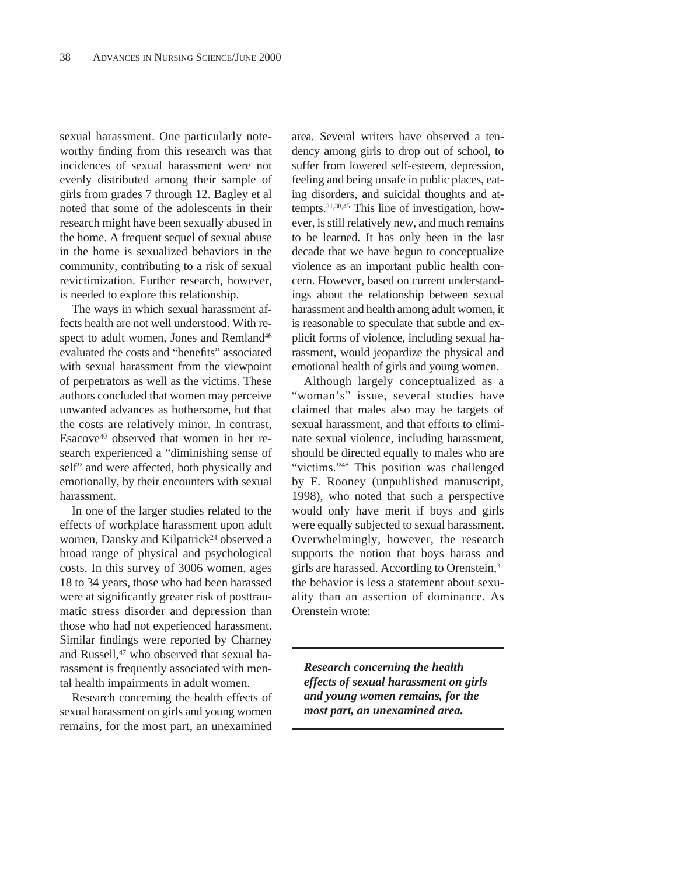sexual harassment. One particularly noteworthy finding from this research was that incidences of sexual harassment were not evenly distributed among their sample of girls from grades 7 through 12. Bagley et al noted that some of the adolescents in their research might have been sexually abused in the home. A frequent sequel of sexual abuse in the home is sexualized behaviors in the community, contributing to a risk of sexual revictimization. Further research, however, is needed to explore this relationship.

The ways in which sexual harassment affects health are not well understood. With respect to adult women, Jones and Remland<sup>46</sup> evaluated the costs and "benefits" associated with sexual harassment from the viewpoint of perpetrators as well as the victims. These authors concluded that women may perceive unwanted advances as bothersome, but that the costs are relatively minor. In contrast, Esacove40 observed that women in her research experienced a "diminishing sense of self" and were affected, both physically and emotionally, by their encounters with sexual harassment.

In one of the larger studies related to the effects of workplace harassment upon adult women, Dansky and Kilpatrick<sup>24</sup> observed a broad range of physical and psychological costs. In this survey of 3006 women, ages 18 to 34 years, those who had been harassed were at significantly greater risk of posttraumatic stress disorder and depression than those who had not experienced harassment. Similar findings were reported by Charney and Russell, $47$  who observed that sexual harassment is frequently associated with mental health impairments in adult women.

Research concerning the health effects of sexual harassment on girls and young women remains, for the most part, an unexamined area. Several writers have observed a tendency among girls to drop out of school, to suffer from lowered self-esteem, depression, feeling and being unsafe in public places, eating disorders, and suicidal thoughts and attempts.31,38,45 This line of investigation, however, is still relatively new, and much remains to be learned. It has only been in the last decade that we have begun to conceptualize violence as an important public health concern. However, based on current understandings about the relationship between sexual harassment and health among adult women, it is reasonable to speculate that subtle and explicit forms of violence, including sexual harassment, would jeopardize the physical and emotional health of girls and young women.

Although largely conceptualized as a "woman's" issue, several studies have claimed that males also may be targets of sexual harassment, and that efforts to eliminate sexual violence, including harassment, should be directed equally to males who are "victims."48 This position was challenged by F. Rooney (unpublished manuscript, 1998), who noted that such a perspective would only have merit if boys and girls were equally subjected to sexual harassment. Overwhelmingly, however, the research supports the notion that boys harass and girls are harassed. According to Orenstein,<sup>31</sup> the behavior is less a statement about sexuality than an assertion of dominance. As Orenstein wrote:

*Research concerning the health effects of sexual harassment on girls and young women remains, for the most part, an unexamined area.*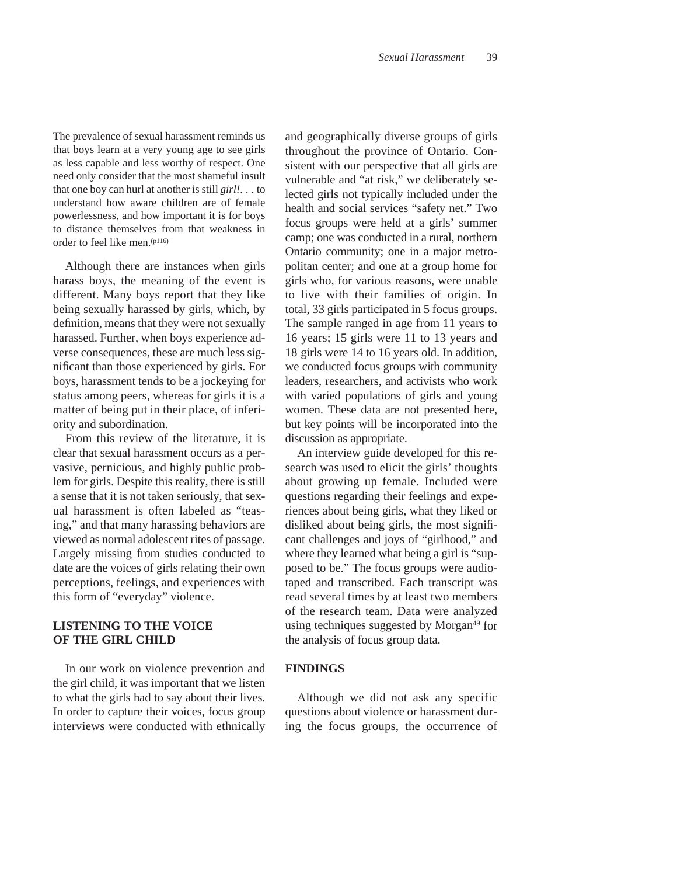The prevalence of sexual harassment reminds us that boys learn at a very young age to see girls as less capable and less worthy of respect. One need only consider that the most shameful insult that one boy can hurl at another is still *girl!*. . . to understand how aware children are of female powerlessness, and how important it is for boys to distance themselves from that weakness in order to feel like men.<sup>(p116)</sup>

Although there are instances when girls harass boys, the meaning of the event is different. Many boys report that they like being sexually harassed by girls, which, by definition, means that they were not sexually harassed. Further, when boys experience adverse consequences, these are much less significant than those experienced by girls. For boys, harassment tends to be a jockeying for status among peers, whereas for girls it is a matter of being put in their place, of inferiority and subordination.

From this review of the literature, it is clear that sexual harassment occurs as a pervasive, pernicious, and highly public problem for girls. Despite this reality, there is still a sense that it is not taken seriously, that sexual harassment is often labeled as "teasing," and that many harassing behaviors are viewed as normal adolescent rites of passage. Largely missing from studies conducted to date are the voices of girls relating their own perceptions, feelings, and experiences with this form of "everyday" violence.

## **LISTENING TO THE VOICE OF THE GIRL CHILD**

In our work on violence prevention and the girl child, it was important that we listen to what the girls had to say about their lives. In order to capture their voices, focus group interviews were conducted with ethnically

and geographically diverse groups of girls throughout the province of Ontario. Consistent with our perspective that all girls are vulnerable and "at risk," we deliberately selected girls not typically included under the health and social services "safety net." Two focus groups were held at a girls' summer camp; one was conducted in a rural, northern Ontario community; one in a major metropolitan center; and one at a group home for girls who, for various reasons, were unable to live with their families of origin. In total, 33 girls participated in 5 focus groups. The sample ranged in age from 11 years to 16 years; 15 girls were 11 to 13 years and 18 girls were 14 to 16 years old. In addition, we conducted focus groups with community leaders, researchers, and activists who work with varied populations of girls and young women. These data are not presented here, but key points will be incorporated into the discussion as appropriate.

An interview guide developed for this research was used to elicit the girls' thoughts about growing up female. Included were questions regarding their feelings and experiences about being girls, what they liked or disliked about being girls, the most significant challenges and joys of "girlhood," and where they learned what being a girl is "supposed to be." The focus groups were audiotaped and transcribed. Each transcript was read several times by at least two members of the research team. Data were analyzed using techniques suggested by Morgan<sup>49</sup> for the analysis of focus group data.

## **FINDINGS**

Although we did not ask any specific questions about violence or harassment during the focus groups, the occurrence of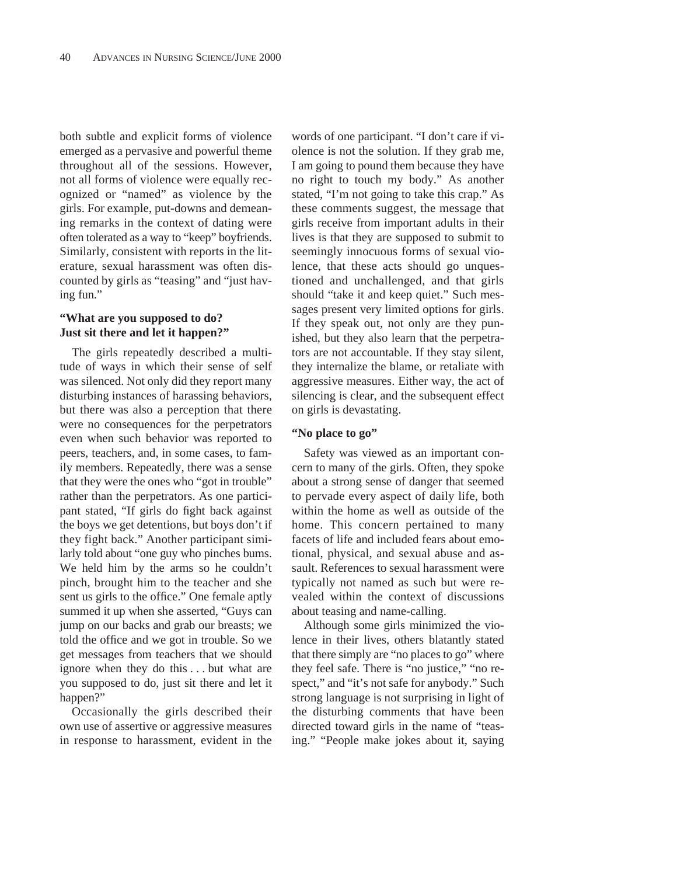both subtle and explicit forms of violence emerged as a pervasive and powerful theme throughout all of the sessions. However, not all forms of violence were equally recognized or "named" as violence by the girls. For example, put-downs and demeaning remarks in the context of dating were often tolerated as a way to "keep" boyfriends. Similarly, consistent with reports in the literature, sexual harassment was often discounted by girls as "teasing" and "just having fun."

## **"What are you supposed to do? Just sit there and let it happen?"**

The girls repeatedly described a multitude of ways in which their sense of self was silenced. Not only did they report many disturbing instances of harassing behaviors, but there was also a perception that there were no consequences for the perpetrators even when such behavior was reported to peers, teachers, and, in some cases, to family members. Repeatedly, there was a sense that they were the ones who "got in trouble" rather than the perpetrators. As one participant stated, "If girls do fight back against the boys we get detentions, but boys don't if they fight back." Another participant similarly told about "one guy who pinches bums. We held him by the arms so he couldn't pinch, brought him to the teacher and she sent us girls to the office." One female aptly summed it up when she asserted, "Guys can jump on our backs and grab our breasts; we told the office and we got in trouble. So we get messages from teachers that we should ignore when they do this... but what are you supposed to do, just sit there and let it happen?"

Occasionally the girls described their own use of assertive or aggressive measures in response to harassment, evident in the words of one participant. "I don't care if violence is not the solution. If they grab me, I am going to pound them because they have no right to touch my body." As another stated, "I'm not going to take this crap." As these comments suggest, the message that girls receive from important adults in their lives is that they are supposed to submit to seemingly innocuous forms of sexual violence, that these acts should go unquestioned and unchallenged, and that girls should "take it and keep quiet." Such messages present very limited options for girls. If they speak out, not only are they punished, but they also learn that the perpetrators are not accountable. If they stay silent, they internalize the blame, or retaliate with aggressive measures. Either way, the act of silencing is clear, and the subsequent effect on girls is devastating.

## **"No place to go"**

Safety was viewed as an important concern to many of the girls. Often, they spoke about a strong sense of danger that seemed to pervade every aspect of daily life, both within the home as well as outside of the home. This concern pertained to many facets of life and included fears about emotional, physical, and sexual abuse and assault. References to sexual harassment were typically not named as such but were revealed within the context of discussions about teasing and name-calling.

Although some girls minimized the violence in their lives, others blatantly stated that there simply are "no places to go" where they feel safe. There is "no justice," "no respect," and "it's not safe for anybody." Such strong language is not surprising in light of the disturbing comments that have been directed toward girls in the name of "teasing." "People make jokes about it, saying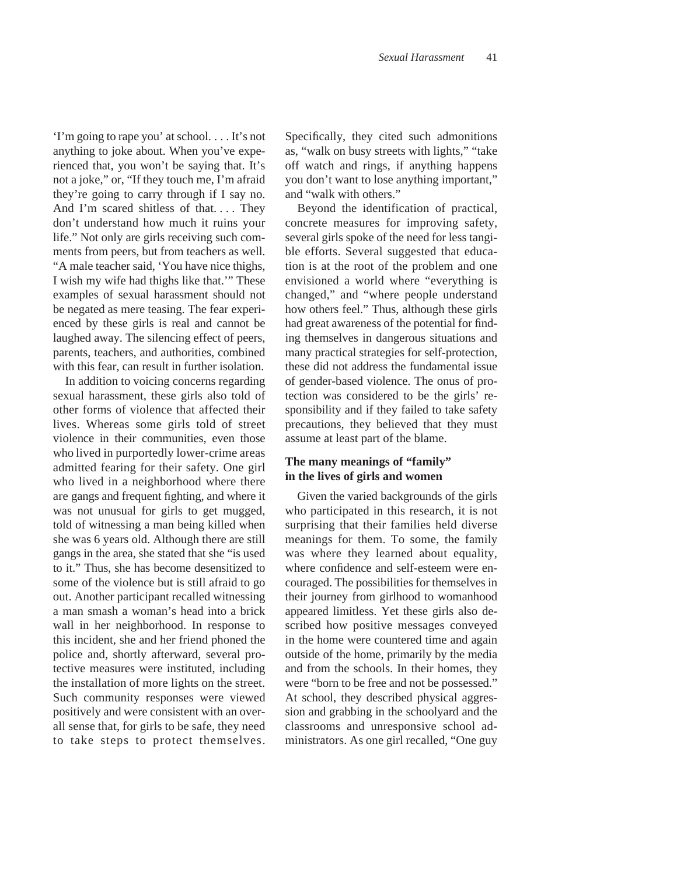'I'm going to rape you' at school. . . . It's not anything to joke about. When you've experienced that, you won't be saying that. It's not a joke," or, "If they touch me, I'm afraid they're going to carry through if I say no. And I'm scared shitless of that.... They don't understand how much it ruins your life." Not only are girls receiving such comments from peers, but from teachers as well. "A male teacher said, 'You have nice thighs, I wish my wife had thighs like that.'" These examples of sexual harassment should not be negated as mere teasing. The fear experienced by these girls is real and cannot be laughed away. The silencing effect of peers, parents, teachers, and authorities, combined with this fear, can result in further isolation.

In addition to voicing concerns regarding sexual harassment, these girls also told of other forms of violence that affected their lives. Whereas some girls told of street violence in their communities, even those who lived in purportedly lower-crime areas admitted fearing for their safety. One girl who lived in a neighborhood where there are gangs and frequent fighting, and where it was not unusual for girls to get mugged, told of witnessing a man being killed when she was 6 years old. Although there are still gangs in the area, she stated that she "is used to it." Thus, she has become desensitized to some of the violence but is still afraid to go out. Another participant recalled witnessing a man smash a woman's head into a brick wall in her neighborhood. In response to this incident, she and her friend phoned the police and, shortly afterward, several protective measures were instituted, including the installation of more lights on the street. Such community responses were viewed positively and were consistent with an overall sense that, for girls to be safe, they need to take steps to protect themselves.

Specifically, they cited such admonitions as, "walk on busy streets with lights," "take off watch and rings, if anything happens you don't want to lose anything important," and "walk with others."

Beyond the identification of practical, concrete measures for improving safety, several girls spoke of the need for less tangible efforts. Several suggested that education is at the root of the problem and one envisioned a world where "everything is changed," and "where people understand how others feel." Thus, although these girls had great awareness of the potential for finding themselves in dangerous situations and many practical strategies for self-protection, these did not address the fundamental issue of gender-based violence. The onus of protection was considered to be the girls' responsibility and if they failed to take safety precautions, they believed that they must assume at least part of the blame.

# **The many meanings of "family" in the lives of girls and women**

Given the varied backgrounds of the girls who participated in this research, it is not surprising that their families held diverse meanings for them. To some, the family was where they learned about equality, where confidence and self-esteem were encouraged. The possibilities for themselves in their journey from girlhood to womanhood appeared limitless. Yet these girls also described how positive messages conveyed in the home were countered time and again outside of the home, primarily by the media and from the schools. In their homes, they were "born to be free and not be possessed." At school, they described physical aggression and grabbing in the schoolyard and the classrooms and unresponsive school administrators. As one girl recalled, "One guy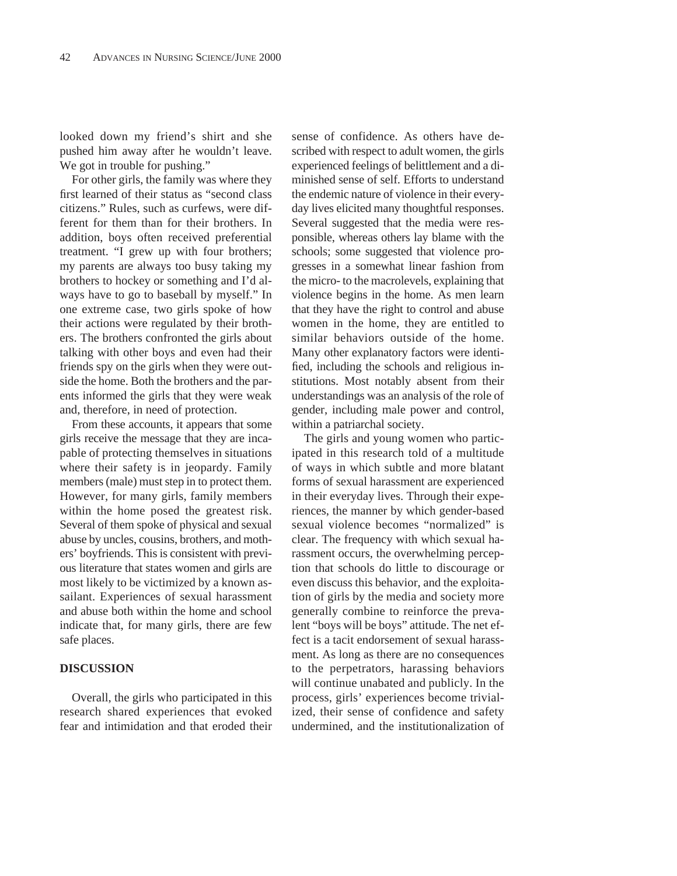looked down my friend's shirt and she pushed him away after he wouldn't leave. We got in trouble for pushing."

For other girls, the family was where they first learned of their status as "second class citizens." Rules, such as curfews, were different for them than for their brothers. In addition, boys often received preferential treatment. "I grew up with four brothers; my parents are always too busy taking my brothers to hockey or something and I'd always have to go to baseball by myself." In one extreme case, two girls spoke of how their actions were regulated by their brothers. The brothers confronted the girls about talking with other boys and even had their friends spy on the girls when they were outside the home. Both the brothers and the parents informed the girls that they were weak and, therefore, in need of protection.

From these accounts, it appears that some girls receive the message that they are incapable of protecting themselves in situations where their safety is in jeopardy. Family members (male) must step in to protect them. However, for many girls, family members within the home posed the greatest risk. Several of them spoke of physical and sexual abuse by uncles, cousins, brothers, and mothers' boyfriends. This is consistent with previous literature that states women and girls are most likely to be victimized by a known assailant. Experiences of sexual harassment and abuse both within the home and school indicate that, for many girls, there are few safe places.

## **DISCUSSION**

Overall, the girls who participated in this research shared experiences that evoked fear and intimidation and that eroded their sense of confidence. As others have described with respect to adult women, the girls experienced feelings of belittlement and a diminished sense of self. Efforts to understand the endemic nature of violence in their everyday lives elicited many thoughtful responses. Several suggested that the media were responsible, whereas others lay blame with the schools; some suggested that violence progresses in a somewhat linear fashion from the micro- to the macrolevels, explaining that violence begins in the home. As men learn that they have the right to control and abuse women in the home, they are entitled to similar behaviors outside of the home. Many other explanatory factors were identified, including the schools and religious institutions. Most notably absent from their understandings was an analysis of the role of gender, including male power and control, within a patriarchal society.

The girls and young women who participated in this research told of a multitude of ways in which subtle and more blatant forms of sexual harassment are experienced in their everyday lives. Through their experiences, the manner by which gender-based sexual violence becomes "normalized" is clear. The frequency with which sexual harassment occurs, the overwhelming perception that schools do little to discourage or even discuss this behavior, and the exploitation of girls by the media and society more generally combine to reinforce the prevalent "boys will be boys" attitude. The net effect is a tacit endorsement of sexual harassment. As long as there are no consequences to the perpetrators, harassing behaviors will continue unabated and publicly. In the process, girls' experiences become trivialized, their sense of confidence and safety undermined, and the institutionalization of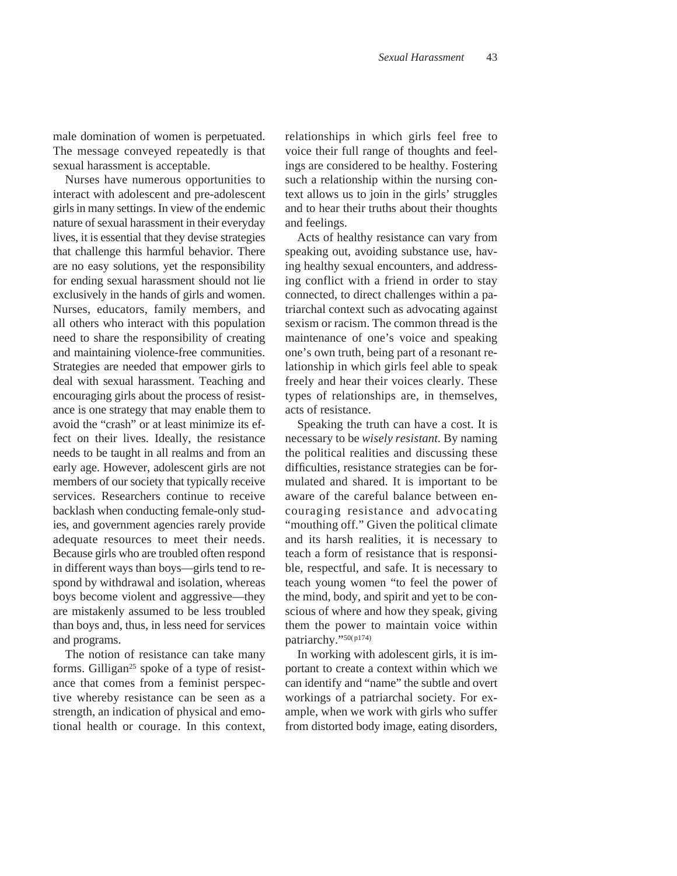male domination of women is perpetuated. The message conveyed repeatedly is that sexual harassment is acceptable.

Nurses have numerous opportunities to interact with adolescent and pre-adolescent girls in many settings. In view of the endemic nature of sexual harassment in their everyday lives, it is essential that they devise strategies that challenge this harmful behavior. There are no easy solutions, yet the responsibility for ending sexual harassment should not lie exclusively in the hands of girls and women. Nurses, educators, family members, and all others who interact with this population need to share the responsibility of creating and maintaining violence-free communities. Strategies are needed that empower girls to deal with sexual harassment. Teaching and encouraging girls about the process of resistance is one strategy that may enable them to avoid the "crash" or at least minimize its effect on their lives. Ideally, the resistance needs to be taught in all realms and from an early age. However, adolescent girls are not members of our society that typically receive services. Researchers continue to receive backlash when conducting female-only studies, and government agencies rarely provide adequate resources to meet their needs. Because girls who are troubled often respond in different ways than boys—girls tend to respond by withdrawal and isolation, whereas boys become violent and aggressive—they are mistakenly assumed to be less troubled than boys and, thus, in less need for services and programs.

The notion of resistance can take many forms. Gilligan<sup>25</sup> spoke of a type of resistance that comes from a feminist perspective whereby resistance can be seen as a strength, an indication of physical and emotional health or courage. In this context, relationships in which girls feel free to voice their full range of thoughts and feelings are considered to be healthy. Fostering such a relationship within the nursing context allows us to join in the girls' struggles and to hear their truths about their thoughts and feelings.

Acts of healthy resistance can vary from speaking out, avoiding substance use, having healthy sexual encounters, and addressing conflict with a friend in order to stay connected, to direct challenges within a patriarchal context such as advocating against sexism or racism. The common thread is the maintenance of one's voice and speaking one's own truth, being part of a resonant relationship in which girls feel able to speak freely and hear their voices clearly. These types of relationships are, in themselves, acts of resistance.

Speaking the truth can have a cost. It is necessary to be *wisely resistant.* By naming the political realities and discussing these difficulties, resistance strategies can be formulated and shared. It is important to be aware of the careful balance between encouraging resistance and advocating "mouthing off." Given the political climate and its harsh realities, it is necessary to teach a form of resistance that is responsible, respectful, and safe. It is necessary to teach young women "to feel the power of the mind, body, and spirit and yet to be conscious of where and how they speak, giving them the power to maintain voice within patriarchy."50(p174)

In working with adolescent girls, it is important to create a context within which we can identify and "name" the subtle and overt workings of a patriarchal society. For example, when we work with girls who suffer from distorted body image, eating disorders,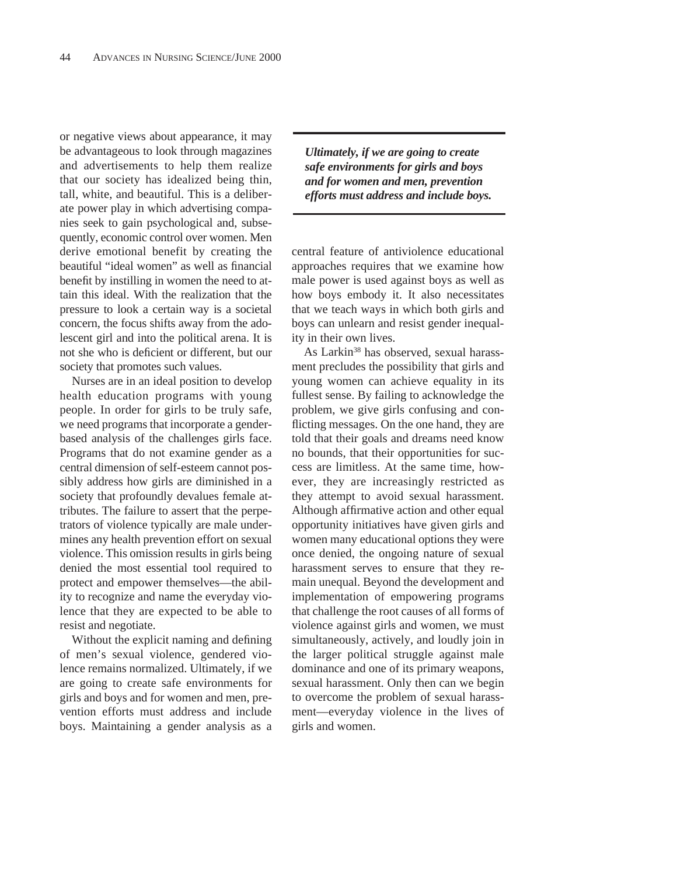or negative views about appearance, it may be advantageous to look through magazines and advertisements to help them realize that our society has idealized being thin, tall, white, and beautiful. This is a deliberate power play in which advertising companies seek to gain psychological and, subsequently, economic control over women. Men derive emotional benefit by creating the beautiful "ideal women" as well as financial benefit by instilling in women the need to attain this ideal. With the realization that the pressure to look a certain way is a societal concern, the focus shifts away from the adolescent girl and into the political arena. It is not she who is deficient or different, but our society that promotes such values.

Nurses are in an ideal position to develop health education programs with young people. In order for girls to be truly safe, we need programs that incorporate a genderbased analysis of the challenges girls face. Programs that do not examine gender as a central dimension of self-esteem cannot possibly address how girls are diminished in a society that profoundly devalues female attributes. The failure to assert that the perpetrators of violence typically are male undermines any health prevention effort on sexual violence. This omission results in girls being denied the most essential tool required to protect and empower themselves—the ability to recognize and name the everyday violence that they are expected to be able to resist and negotiate.

Without the explicit naming and defining of men's sexual violence, gendered violence remains normalized. Ultimately, if we are going to create safe environments for girls and boys and for women and men, prevention efforts must address and include boys. Maintaining a gender analysis as a *Ultimately, if we are going to create safe environments for girls and boys and for women and men, prevention efforts must address and include boys.*

central feature of antiviolence educational approaches requires that we examine how male power is used against boys as well as how boys embody it. It also necessitates that we teach ways in which both girls and boys can unlearn and resist gender inequality in their own lives.

As Larkin<sup>38</sup> has observed, sexual harassment precludes the possibility that girls and young women can achieve equality in its fullest sense. By failing to acknowledge the problem, we give girls confusing and conflicting messages. On the one hand, they are told that their goals and dreams need know no bounds, that their opportunities for success are limitless. At the same time, however, they are increasingly restricted as they attempt to avoid sexual harassment. Although affirmative action and other equal opportunity initiatives have given girls and women many educational options they were once denied, the ongoing nature of sexual harassment serves to ensure that they remain unequal. Beyond the development and implementation of empowering programs that challenge the root causes of all forms of violence against girls and women, we must simultaneously, actively, and loudly join in the larger political struggle against male dominance and one of its primary weapons, sexual harassment. Only then can we begin to overcome the problem of sexual harassment—everyday violence in the lives of girls and women.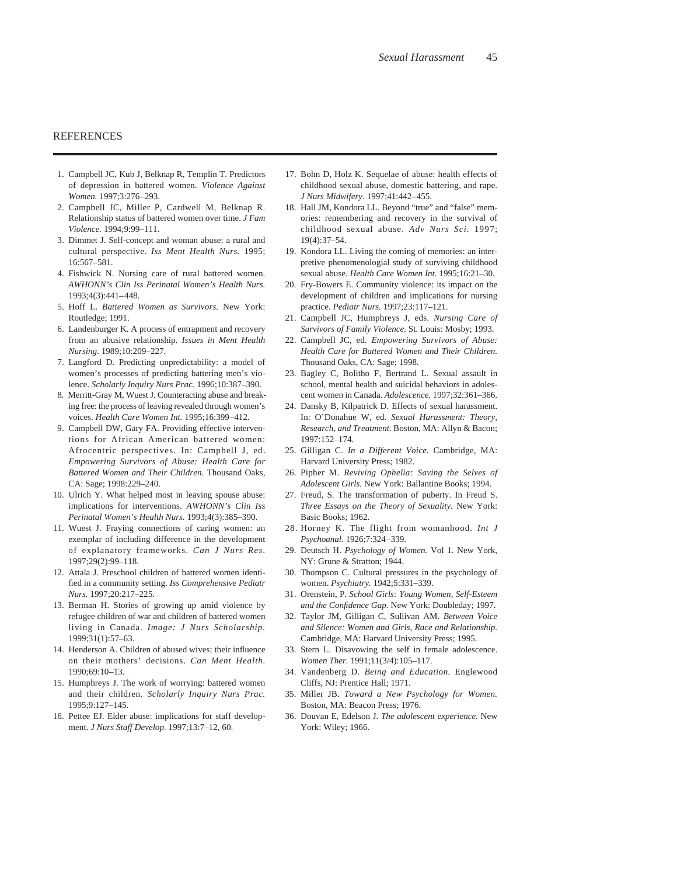#### REFERENCES

- 1. Campbell JC, Kub J, Belknap R, Templin T. Predictors of depression in battered women. *Violence Against Women.* 1997;3:276–293.
- 2. Campbell JC, Miller P, Cardwell M, Belknap R. Relationship status of battered women over time. *J Fam Violence.* 1994;9:99–111.
- 3. Dimmet J. Self-concept and woman abuse: a rural and cultural perspective. *Iss Ment Health Nurs.* 1995; 16:567–581.
- 4. Fishwick N. Nursing care of rural battered women. *AWHONN's Clin Iss Perinatal Women's Health Nurs.* 1993;4(3):441–448.
- 5. Hoff L. *Battered Women as Survivors.* New York: Routledge; 1991.
- 6. Landenburger K. A process of entrapment and recovery from an abusive relationship. *Issues in Ment Health Nursing.* 1989;10:209–227.
- 7. Langford D. Predicting unpredictability: a model of women's processes of predicting battering men's violence. *Scholarly Inquiry Nurs Prac.* 1996;10:387–390.
- 8. Merritt-Gray M, Wuest J. Counteracting abuse and breaking free: the process of leaving revealed through women's voices. *Health Care Women Int.* 1995;16:399–412.
- 9. Campbell DW, Gary FA. Providing effective interventions for African American battered women: Afrocentric perspectives. In: Campbell J, ed. *Empowering Survivors of Abuse: Health Care for Battered Women and Their Children.* Thousand Oaks, CA: Sage; 1998:229–240.
- 10. Ulrich Y. What helped most in leaving spouse abuse: implications for interventions. *AWHONN's Clin Iss Perinatal Women's Health Nurs.* 1993;4(3):385–390.
- 11. Wuest J. Fraying connections of caring women: an exemplar of including difference in the development of explanatory frameworks. *Can J Nurs Res.* 1997;29(2):99–118.
- 12. Attala J. Preschool children of battered women identified in a community setting. *Iss Comprehensive Pediatr Nurs.* 1997;20:217–225.
- 13. Berman H. Stories of growing up amid violence by refugee children of war and children of battered women living in Canada. *Image: J Nurs Scholarship.* 1999;31(1):57–63.
- 14. Henderson A. Children of abused wives: their influence on their mothers' decisions. *Can Ment Health.* 1990;69:10–13.
- 15. Humphreys J. The work of worrying: battered women and their children. *Scholarly Inquiry Nurs Prac.* 1995;9:127–145.
- 16. Pettee EJ. Elder abuse: implications for staff development. *J Nurs Staff Develop.* 1997;13:7–12, 60.
- 17. Bohn D, Holz K. Sequelae of abuse: health effects of childhood sexual abuse, domestic battering, and rape. *J Nurs Midwifery.* 1997;41:442–455.
- 18. Hall JM, Kondora LL. Beyond "true" and "false" memories: remembering and recovery in the survival of childhood sexual abuse. *Adv Nurs Sci.* 1997; 19(4):37–54.
- 19. Kondora LL. Living the coming of memories: an interpretive phenomenologial study of surviving childhood sexual abuse. *Health Care Women Int.* 1995;16:21–30.
- 20. Fry-Bowers E. Community violence: its impact on the development of children and implications for nursing practice. *Pediatr Nurs.* 1997;23:117–121.
- 21. Campbell JC, Humphreys J, eds. *Nursing Care of Survivors of Family Violence.* St. Louis: Mosby; 1993.
- 22. Campbell JC, ed. *Empowering Survivors of Abuse: Health Care for Battered Women and Their Children.* Thousand Oaks, CA: Sage; 1998.
- 23. Bagley C, Bolitho F, Bertrand L. Sexual assault in school, mental health and suicidal behaviors in adolescent women in Canada. *Adolescence.* 1997;32:361–366.
- 24. Dansky B, Kilpatrick D. Effects of sexual harassment. In: O'Donahue W, ed. *Sexual Harassment: Theory, Research, and Treatment.* Boston, MA: Allyn & Bacon; 1997:152–174.
- 25. Gilligan C. *In a Different Voice.* Cambridge, MA: Harvard University Press; 1982.
- 26. Pipher M. *Reviving Ophelia: Saving the Selves of Adolescent Girls.* New York: Ballantine Books; 1994.
- 27. Freud, S. The transformation of puberty. In Freud S. *Three Essays on the Theory of Sexuality.* New York: Basic Books; 1962.
- 28. Horney K. The flight from womanhood. *Int J Psychoanal.* 1926;7:324–339.
- 29. Deutsch H. *Psychology of Women.* Vol 1. New York, NY: Grune & Stratton; 1944.
- 30. Thompson C. Cultural pressures in the psychology of women. *Psychiatry.* 1942;5:331–339.
- 31. Orenstein, P. *School Girls: Young Women, Self-Esteem and the Confidence Gap.* New York: Doubleday; 1997.
- 32. Taylor JM, Gilligan C, Sullivan AM. *Between Voice and Silence: Women and Girls, Race and Relationship.* Cambridge, MA: Harvard University Press; 1995.
- 33. Stern L. Disavowing the self in female adolescence. *Women Ther.* 1991;11(3/4):105–117.
- 34. Vandenberg D. *Being and Education.* Englewood Cliffs, NJ: Prentice Hall; 1971.
- 35. Miller JB. *Toward a New Psychology for Women.* Boston, MA: Beacon Press; 1976.
- 36. Douvan E, Edelson J. *The adolescent experience.* New York: Wiley; 1966.